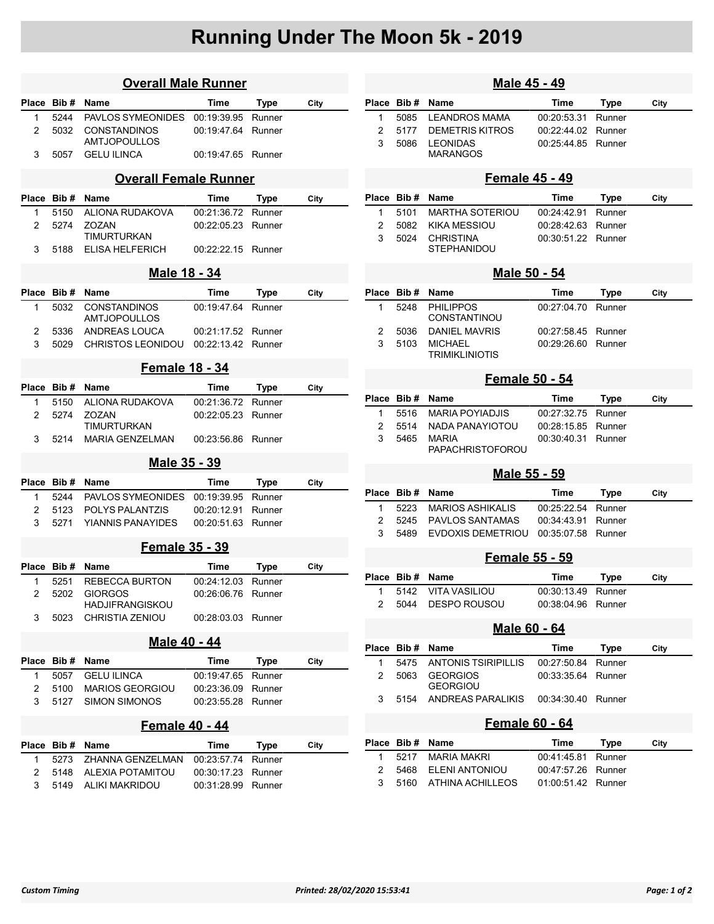## Running Under The Moon 5k - 2019

| <b>Overall Male Runner</b>   |             |                                       |             |        |      |  |  |  |  |  |
|------------------------------|-------------|---------------------------------------|-------------|--------|------|--|--|--|--|--|
| Place                        | Bib#        | Name                                  | Time        | Type   | City |  |  |  |  |  |
| 1                            | 5244        | PAVLOS SYMEONIDES                     | 00:19:39.95 | Runner |      |  |  |  |  |  |
| 2                            | 5032        | <b>CONSTANDINOS</b>                   | 00:19:47.64 | Runner |      |  |  |  |  |  |
|                              |             | AMTJOPOULLOS                          |             |        |      |  |  |  |  |  |
| 3                            | 5057        | <b>GELU ILINCA</b>                    | 00:19:47.65 | Runner |      |  |  |  |  |  |
| <b>Overall Female Runner</b> |             |                                       |             |        |      |  |  |  |  |  |
| Place                        | Bib#        | Name                                  | Time        | Type   | City |  |  |  |  |  |
| 1                            | 5150        | ALIONA RUDAKOVA                       | 00:21:36.72 | Runner |      |  |  |  |  |  |
| $\overline{2}$               | 5274        | <b>ZOZAN</b>                          | 00:22:05.23 | Runner |      |  |  |  |  |  |
| 3                            | 5188        | TIMURTURKAN<br><b>ELISA HELFERICH</b> | 00:22:22.15 | Runner |      |  |  |  |  |  |
|                              |             |                                       |             |        |      |  |  |  |  |  |
| <u>Male 18 - 34</u>          |             |                                       |             |        |      |  |  |  |  |  |
| Place                        | Bib#        | Name                                  | Time        | Type   | City |  |  |  |  |  |
| 1                            | 5032        | CONSTANDINOS<br><b>AMTJOPOULLOS</b>   | 00:19:47.64 | Runner |      |  |  |  |  |  |
| 2                            | 5336        | <b>ANDREAS LOUCA</b>                  | 00:21:17.52 | Runner |      |  |  |  |  |  |
| 3                            | 5029        | <b>CHRISTOS LEONIDOU</b>              | 00:22:13.42 | Runner |      |  |  |  |  |  |
| Female 18 - 34               |             |                                       |             |        |      |  |  |  |  |  |
| Place                        | Bib#        | Name                                  | Time        | Type   | City |  |  |  |  |  |
| 1                            | 5150        | ALIONA RUDAKOVA                       | 00:21:36.72 | Runner |      |  |  |  |  |  |
| $\overline{2}$               | 5274        | ZOZAN                                 | 00:22:05.23 | Runner |      |  |  |  |  |  |
|                              |             | TIMURTURKAN                           |             |        |      |  |  |  |  |  |
| 3                            | 5214        | <b>MARIA GENZELMAN</b>                | 00:23:56.86 | Runner |      |  |  |  |  |  |
| Male 35 - 39                 |             |                                       |             |        |      |  |  |  |  |  |
| Place                        | Bib#        | Name                                  | Time        | Type   | City |  |  |  |  |  |
| 1                            | 5244        | PAVLOS SYMEONIDES                     | 00:19:39.95 | Runner |      |  |  |  |  |  |
| 2                            | 5123        | POLYS PALANTZIS                       | 00:20:12.91 | Runner |      |  |  |  |  |  |
| 3                            | 5271        | <b>YIANNIS PANAYIDES</b>              | 00:20:51.63 | Runner |      |  |  |  |  |  |
|                              |             | <b>Female 35 - 39</b>                 |             |        |      |  |  |  |  |  |
| Place                        | Bib#        | Name                                  | Time        | Type   | City |  |  |  |  |  |
| 1                            | 5251        | REBECCA BURTON                        | 00:24:12.03 | Runner |      |  |  |  |  |  |
| 2                            | 5202        | <b>GIORGOS</b>                        | 00:26:06.76 | Runner |      |  |  |  |  |  |
|                              |             | HADJIFRANGISKOU                       |             |        |      |  |  |  |  |  |
| 3                            | 5023        | CHRISTIA ZENIOU                       | 00:28:03.03 | Runner |      |  |  |  |  |  |
| Male 40 - 44                 |             |                                       |             |        |      |  |  |  |  |  |
|                              | Place Bib # | Name                                  | Time        | Type   | City |  |  |  |  |  |
| 1                            | 5057        | <b>GELU ILINCA</b>                    | 00:19:47.65 | Runner |      |  |  |  |  |  |
| 2                            | 5100        | <b>MARIOS GEORGIOU</b>                | 00:23:36.09 | Runner |      |  |  |  |  |  |
| 3                            | 5127        | <b>SIMON SIMONOS</b>                  | 00:23:55.28 | Runner |      |  |  |  |  |  |
| Female 40 - 44               |             |                                       |             |        |      |  |  |  |  |  |
|                              | Place Bib#  | Name                                  | Time        | Type   | City |  |  |  |  |  |
| 1                            | 5273        | ZHANNA GENZELMAN                      | 00:23:57.74 | Runner |      |  |  |  |  |  |
| 2                            | 5148        | <b>ALEXIA POTAMITOU</b>               | 00:30:17.23 | Runner |      |  |  |  |  |  |
| 3                            | 5149        | <b>ALIKI MAKRIDOU</b>                 | 00:31:28.99 | Runner |      |  |  |  |  |  |

| City<br>City<br>City<br>City |  |  |  |  |  |  |  |  |  |  |
|------------------------------|--|--|--|--|--|--|--|--|--|--|
|                              |  |  |  |  |  |  |  |  |  |  |
|                              |  |  |  |  |  |  |  |  |  |  |
|                              |  |  |  |  |  |  |  |  |  |  |
|                              |  |  |  |  |  |  |  |  |  |  |
|                              |  |  |  |  |  |  |  |  |  |  |
|                              |  |  |  |  |  |  |  |  |  |  |
|                              |  |  |  |  |  |  |  |  |  |  |
|                              |  |  |  |  |  |  |  |  |  |  |
|                              |  |  |  |  |  |  |  |  |  |  |
|                              |  |  |  |  |  |  |  |  |  |  |
|                              |  |  |  |  |  |  |  |  |  |  |
|                              |  |  |  |  |  |  |  |  |  |  |
|                              |  |  |  |  |  |  |  |  |  |  |
|                              |  |  |  |  |  |  |  |  |  |  |
|                              |  |  |  |  |  |  |  |  |  |  |
|                              |  |  |  |  |  |  |  |  |  |  |
|                              |  |  |  |  |  |  |  |  |  |  |
|                              |  |  |  |  |  |  |  |  |  |  |
|                              |  |  |  |  |  |  |  |  |  |  |
|                              |  |  |  |  |  |  |  |  |  |  |
|                              |  |  |  |  |  |  |  |  |  |  |
|                              |  |  |  |  |  |  |  |  |  |  |
|                              |  |  |  |  |  |  |  |  |  |  |
|                              |  |  |  |  |  |  |  |  |  |  |
|                              |  |  |  |  |  |  |  |  |  |  |
| City                         |  |  |  |  |  |  |  |  |  |  |
|                              |  |  |  |  |  |  |  |  |  |  |
|                              |  |  |  |  |  |  |  |  |  |  |
|                              |  |  |  |  |  |  |  |  |  |  |
| <b>Female 55 - 59</b>        |  |  |  |  |  |  |  |  |  |  |
| City                         |  |  |  |  |  |  |  |  |  |  |
|                              |  |  |  |  |  |  |  |  |  |  |
|                              |  |  |  |  |  |  |  |  |  |  |
|                              |  |  |  |  |  |  |  |  |  |  |
| Male 60 - 64                 |  |  |  |  |  |  |  |  |  |  |
| City                         |  |  |  |  |  |  |  |  |  |  |
|                              |  |  |  |  |  |  |  |  |  |  |
|                              |  |  |  |  |  |  |  |  |  |  |
|                              |  |  |  |  |  |  |  |  |  |  |
|                              |  |  |  |  |  |  |  |  |  |  |
| Female 60 - 64               |  |  |  |  |  |  |  |  |  |  |
| City                         |  |  |  |  |  |  |  |  |  |  |
|                              |  |  |  |  |  |  |  |  |  |  |
|                              |  |  |  |  |  |  |  |  |  |  |
|                              |  |  |  |  |  |  |  |  |  |  |
|                              |  |  |  |  |  |  |  |  |  |  |